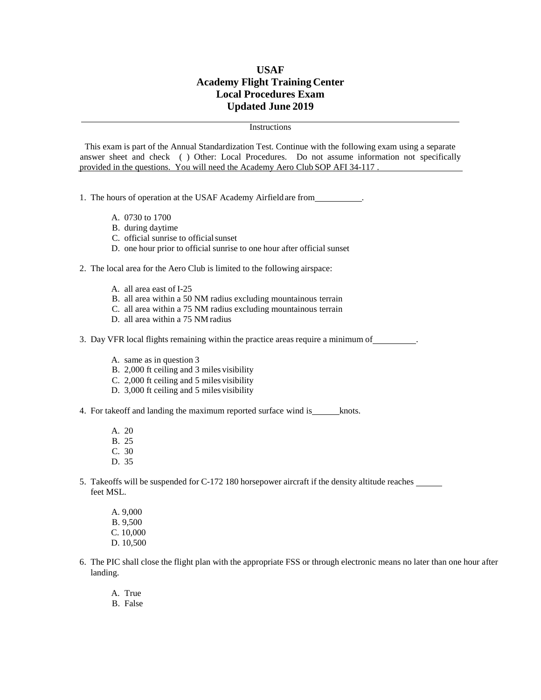## **USAF Academy Flight Training Center Local Procedures Exam Updated June 2019**

## **Instructions**

This exam is part of the Annual Standardization Test. Continue with the following exam using a separate answer sheet and check ( ) Other: Local Procedures. Do not assume information not specifically provided in the questions. You will need the Academy Aero Club SOP AFI 34-117

1. The hours of operation at the USAF Academy Airfield are from .

- A. 0730 to 1700
- B. during daytime
- C. official sunrise to officialsunset
- D. one hour prior to official sunrise to one hour after official sunset

2. The local area for the Aero Club is limited to the following airspace:

- A. all area east of I-25
- B. all area within a 50 NM radius excluding mountainous terrain
- C. all area within a 75 NM radius excluding mountainous terrain
- D. all area within a 75 NM radius

3. Day VFR local flights remaining within the practice areas require a minimum of .

- A. same as in question 3
- B. 2,000 ft ceiling and 3 miles visibility
- C. 2,000 ft ceiling and 5 miles visibility
- D. 3,000 ft ceiling and 5 miles visibility
- 4. For takeoff and landing the maximum reported surface wind is knots.
	- A. 20
	- B. 25 C. 30
	-
	- D. 35
- 5. Takeoffs will be suspended for C-172 180 horsepower aircraft if the density altitude reaches feet MSL.
	- A. 9,000 B. 9,500 C. 10,000 D. 10,500
- 6. The PIC shall close the flight plan with the appropriate FSS or through electronic means no later than one hour after landing.
	- A. True
	- B. False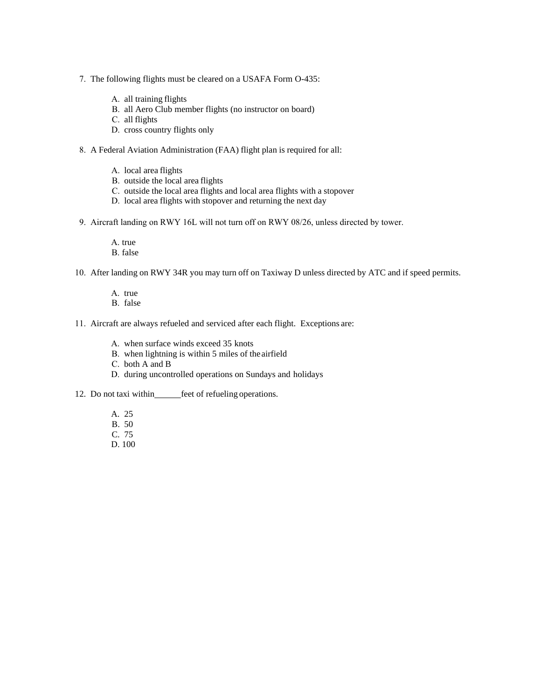- 7. The following flights must be cleared on a USAFA Form O-435:
	- A. all training flights
	- B. all Aero Club member flights (no instructor on board)
	- C. all flights
	- D. cross country flights only
- 8. A Federal Aviation Administration (FAA) flight plan is required for all:
	- A. local area flights
	- B. outside the local area flights
	- C. outside the local area flights and local area flights with a stopover
	- D. local area flights with stopover and returning the next day
- 9. Aircraft landing on RWY 16L will not turn off on RWY 08/26, unless directed by tower.
	- A. true
	- B. false
- 10. After landing on RWY 34R you may turn off on Taxiway D unless directed by ATC and if speed permits.
	- A. true
	- B. false
- 11. Aircraft are always refueled and serviced after each flight. Exceptions are:
	- A. when surface winds exceed 35 knots
	- B. when lightning is within 5 miles of the airfield
	- C. both A and B
	- D. during uncontrolled operations on Sundays and holidays
- 12. Do not taxi within feet of refueling operations.
	- A. 25
	- B. 50
	- C. 75
	- D. 100